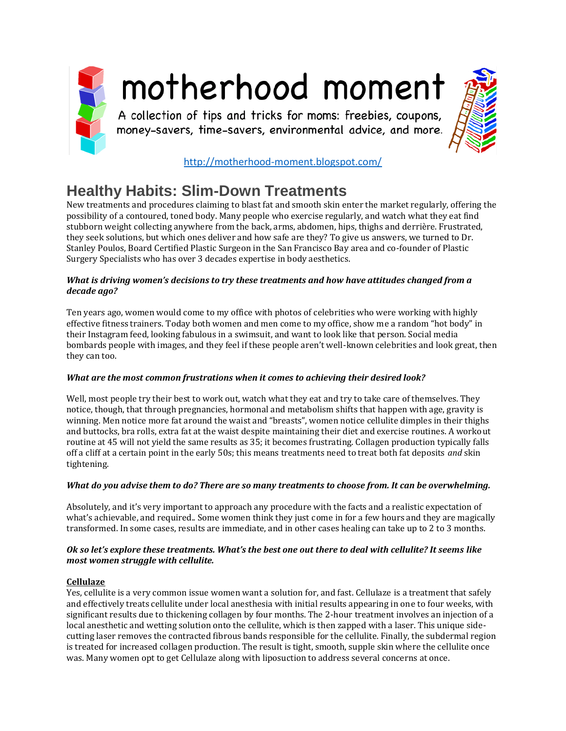

# motherhood moment

A collection of tips and tricks for moms: freebies, coupons, money-savers, time-savers, environmental advice, and more.



<http://motherhood-moment.blogspot.com/>

# **Healthy Habits: Slim-Down Treatments**

New treatments and procedures claiming to blast fat and smooth skin enter the market regularly, offering the possibility of a contoured, toned body. Many people who exercise regularly, and watch what they eat find stubborn weight collecting anywhere from the back, arms, abdomen, hips, thighs and derrière. Frustrated, they seek solutions, but which ones deliver and how safe are they? To give us answers, we turned to Dr. Stanley Poulos, Board Certified Plastic Surgeon in the San Francisco Bay area and co-founder of Plastic Surgery Specialists who has over 3 decades expertise in body aesthetics.

### *What is driving women's decisions to try these treatments and how have attitudes changed from a decade ago?*

Ten years ago, women would come to my office with photos of celebrities who were working with highly effective fitness trainers. Today both women and men come to my office, show me a random "hot body" in their Instagram feed, looking fabulous in a swimsuit, and want to look like that person. Social media bombards people with images, and they feel if these people aren't well-known celebrities and look great, then they can too.

# *What are the most common frustrations when it comes to achieving their desired look?*

Well, most people try their best to work out, watch what they eat and try to take care of themselves. They notice, though, that through pregnancies, hormonal and metabolism shifts that happen with age, gravity is winning. Men notice more fat around the waist and "breasts", women notice cellulite dimples in their thighs and buttocks, bra rolls, extra fat at the waist despite maintaining their diet and exercise routines. A workout routine at 45 will not yield the same results as 35; it becomes frustrating. Collagen production typically falls off a cliff at a certain point in the early 50s; this means treatments need to treat both fat deposits *and* skin tightening.

# *What do you advise them to do? There are so many treatments to choose from. It can be overwhelming.*

Absolutely, and it's very important to approach any procedure with the facts and a realistic expectation of what's achievable, and required.. Some women think they just come in for a few hours and they are magically transformed. In some cases, results are immediate, and in other cases healing can take up to 2 to 3 months.

### *Ok so let's explore these treatments. What's the best one out there to deal with cellulite? It seems like most women struggle with cellulite.*

# **Cellulaze**

Yes, cellulite is a very common issue women want a solution for, and fast. Cellulaze is a treatment that safely and effectively treats cellulite under local anesthesia with initial results appearing in one to four weeks, with significant results due to thickening collagen by four months. The 2-hour treatment involves an injection of a local anesthetic and wetting solution onto the cellulite, which is then zapped with a laser. This unique sidecutting laser removes the contracted fibrous bands responsible for the cellulite. Finally, the subdermal region is treated for increased collagen production. The result is tight, smooth, supple skin where the cellulite once was. Many women opt to get Cellulaze along with liposuction to address several concerns at once.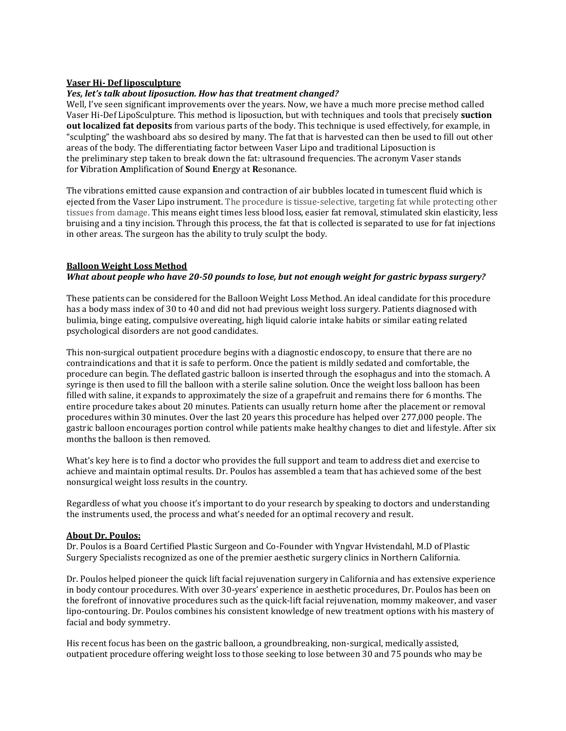#### **Vaser Hi- Def liposculpture**

#### *Yes, let's talk about liposuction. How has that treatment changed?*

Well, I've seen significant improvements over the years. Now, we have a much more precise method called Vaser Hi-Def LipoSculpture. This method is liposuction, but with techniques and tools that precisely **suction out localized fat deposits** from various parts of the body. This technique is used effectively, for example, in "sculpting" the washboard abs so desired by many. The fat that is harvested can then be used to fill out other areas of the body. The differentiating factor between Vaser Lipo and traditional Liposuction is the preliminary step taken to break down the fat: ultrasound frequencies. The acronym Vaser stands for **V**ibration **A**mplification of **S**ound **E**nergy at **R**esonance.

The vibrations emitted cause expansion and contraction of air bubbles located in tumescent fluid which is ejected from the Vaser Lipo instrument. The procedure is tissue-selective, targeting fat while protecting other tissues from damage. This means eight times less blood loss, easier fat removal, stimulated skin elasticity, less bruising and a tiny incision. Through this process, the fat that is collected is separated to use for fat injections in other areas. The surgeon has the ability to truly sculpt the body.

#### **Balloon Weight Loss Method** *What about people who have 20-50 pounds to lose, but not enough weight for gastric bypass surgery?*

These patients can be considered for the Balloon Weight Loss Method. An ideal candidate for this procedure has a body mass index of 30 to 40 and did not had previous weight loss surgery. Patients diagnosed with bulimia, binge eating, compulsive overeating, high liquid calorie intake habits or similar eating related psychological disorders are not good candidates.

This non-surgical outpatient procedure begins with a diagnostic endoscopy, to ensure that there are no contraindications and that it is safe to perform. Once the patient is mildly sedated and comfortable, the procedure can begin. The deflated gastric balloon is inserted through the esophagus and into the stomach. A syringe is then used to fill the balloon with a sterile saline solution. Once the weight loss balloon has been filled with saline, it expands to approximately the size of a grapefruit and remains there for 6 months. The entire procedure takes about 20 minutes. Patients can usually return home after the placement or removal procedures within 30 minutes. Over the last 20 years this procedure has helped over 277,000 people. The gastric balloon encourages portion control while patients make healthy changes to diet and lifestyle. After six months the balloon is then removed.

What's key here is to find a doctor who provides the full support and team to address diet and exercise to achieve and maintain optimal results. Dr. Poulos has assembled a team that has achieved some of the best nonsurgical weight loss results in the country.

Regardless of what you choose it's important to do your research by speaking to doctors and understanding the instruments used, the process and what's needed for an optimal recovery and result.

#### **About Dr. Poulos:**

Dr. Poulos is a Board Certified Plastic Surgeon and Co-Founder with Yngvar Hvistendahl, M.D of Plastic Surgery Specialists recognized as one of the premier aesthetic surgery clinics in Northern California.

Dr. Poulos helped pioneer the quick lift facial rejuvenation surgery in California and has extensive experience in body contour procedures. With over 30-years' experience in aesthetic procedures, Dr. Poulos has been on the forefront of innovative procedures such as the quick-lift facial rejuvenation, mommy makeover, and vaser lipo-contouring. Dr. Poulos combines his consistent knowledge of new treatment options with his mastery of facial and body symmetry.

His recent focus has been on the gastric balloon, a groundbreaking, non-surgical, medically assisted, outpatient procedure offering weight loss to those seeking to lose between 30 and 75 pounds who may be